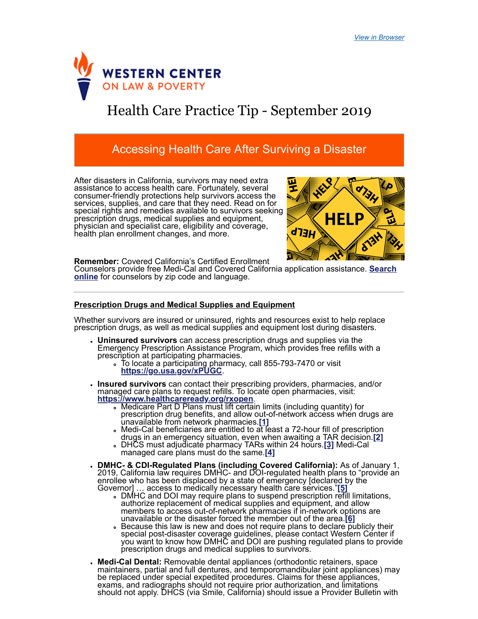

# Health Care Practice Tip - September 2019

## Accessing Health Care After Surviving a Disaster

After disasters in California, survivors may need extra assistance to access health care. Fortunately, several consumer-friendly protections help survivors access the services, supplies, and care that they need. Read on for special rights and remedies available to survivors seeking prescription drugs, medical supplies and equipment, physician and specialist care, eligibility and coverage, health plan enrollment changes, and more.

<span id="page-0-1"></span>

**Remember:** Covered California's Certified Enrollment

[Counselors provide free Medi-Cal and Covered California application assistance.](https://apply.coveredca.com/hix/entity/locateassister/searchentities) **Search online** for counselors by zip code and language.

#### **Prescription Drugs and Medical Supplies and Equipment**

Whether survivors are insured or uninsured, rights and resources exist to help replace prescription drugs, as well as medical supplies and equipment lost during disasters.

- **Uninsured survivors** can access prescription drugs and supplies via the Emergency Prescription Assistance Program, which provides free refills with a prescription at participating pharmacies.
	- To locate a participating pharmacy, call 855-793-7470 or visit **<https://go.usa.gov/xPUGC>**.
- <span id="page-0-0"></span>**Insured survivors** can contact their prescribing providers, pharmacies, and/or managed care plans to request refills. To locate open pharmacies, visit: **<https://www.healthcareready.org/rxopen>**.
	- Medicare Part D Plans must lift certain limits (including quantity) for prescription drug benefits, and allow out-of-network access when drugs are unavailable from network pharmacies.**[\[1\]](#page-3-0)**
	- . Medi-Cal beneficiaries are entitled to at least a 72-hour fill of prescription drugs in an emergency situation, even when awaiting a TAR decision.**[\[2\]](#page-3-1)**
	- DHCS must adjudicate pharmacy TARs within 24 hours.**[\[3\]](#page-3-2)** Medi-Cal managed care plans must do the same.**[\[4\]](#page-3-3)**
- <span id="page-0-4"></span><span id="page-0-3"></span><span id="page-0-2"></span>**DMHC- & CDI-Regulated Plans (including Covered California):** As of January 1, 2019, California law requires DMHC- and DOI-regulated health plans to "provide an enrollee who has been displaced by a state of emergency [declared by the Governor] … access to medically necessary health care services."**[\[5\]](#page-3-4)**
	- DMHC and DOI may require plans to suspend prescription refill limitations, authorize replacement of medical supplies and equipment, and allow members to access out-of-network pharmacies if in-network options are unavailable or the disaster forced the member out of the area.**[\[6\]](#page-3-5)**
	- . Because this law is new and does not require plans to declare publicly their special post-disaster coverage guidelines, please contact Western Center if you want to know how DMHC and DOI are pushing regulated plans to provide prescription drugs and medical supplies to survivors.
- <span id="page-0-6"></span><span id="page-0-5"></span>**Medi-Cal Dental:** Removable dental appliances (orthodontic retainers, space maintainers, partial and full dentures, and temporomandibular joint appliances) may be replaced under special expedited procedures. Claims for these appliances, exams, and radiographs should not require prior authorization, and limitations should not apply. DHCS (via Smile, [Cal](#page-3-6)ifornia) should issue a Provider Bulletin with f h d il f j di **[ ]**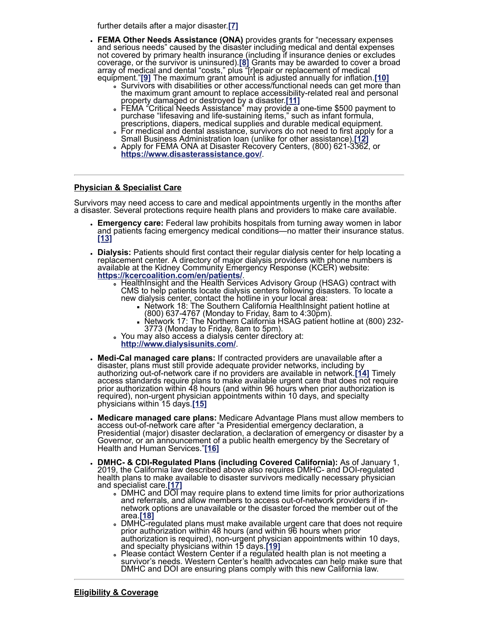<span id="page-1-3"></span><span id="page-1-2"></span><span id="page-1-0"></span>further details after a major disaster.**[\[7\]](#page-3-6)**

- <span id="page-1-1"></span>**FEMA Other Needs Assistance (ONA)** provides grants for "necessary expenses and serious needs" caused by the disaster including medical and dental expenses not covered by primary health insurance (including if insurance denies or excludes coverage, or the survivor is uninsured).**[\[8\]](#page-3-7)** Grants may be awarded to cover a broad array of medical and dental "costs," plus "[r]epair or replacement of medical equipment."**[\[9\]](#page-3-8)** The maximum grant amount is adjusted annually for inflation.**[\[10\]](#page-3-9)**
	- Survivors with disabilities or other access/functional needs can get more than the maximum grant amount to replace accessibility-related real and personal property damaged or destroyed by a disaster.**[\[11\]](#page-3-10)**
	- FEMA "Critical Needs Assistance" may provide a one-time \$500 payment to purchase "lifesaving and life-sustaining items," such as infant formula, prescriptions, diapers, medical supplies and durable medical equipment.
	- For medical and dental assistance, survivors do not need to first apply for a Small Business Administration loan (unlike for other assistance).**[\[12\]](#page-3-11)**
	- Apply for FEMA ONA at Disaster Recovery Centers, (800) 621-3362, or  $\circ$ **<https://www.disasterassistance.gov/>**.

#### **Physician & Specialist Care**

Survivors may need access to care and medical appointments urgently in the months after a disaster. Several protections require health plans and providers to make care available.

- <span id="page-1-5"></span><span id="page-1-4"></span>**Emergency care:** Federal law prohibits hospitals from turning away women in labor and patients facing emergency medical conditions—no matter their insurance status. **[\[13\]](#page-3-12)**
- **Dialysis:** Patients should first contact their regular dialysis center for help locating a replacement center. A directory of major dialysis providers with phone numbers is available at the Kidney Community Emergency Response (KCER) website: **<https://kcercoalition.com/en/patients/>**.
	- HealthInsight and the Health Services Advisory Group (HSAG) contract with CMS to help patients locate dialysis centers following disasters. To locate a new dialysis center, contact the hotline in your local area:
		- Network 18: The Southern California HealthInsight patient hotline at (800) 637-4767 (Monday to Friday, 8am to 4:30pm).
		- Network 17: The Northern California HSAG patient hotline at (800) 232- 3773 (Monday to Friday, 8am to 5pm).
	- You may also access a dialysis center directory at:
	- **<http://www.dialysisunits.com/>**.
- <span id="page-1-6"></span>**Medi-Cal managed care plans:** If contracted providers are unavailable after a disaster, plans must still provide adequate provider networks, including by authorizing out-of-network care if no providers are available in network.**[\[14\]](#page-3-13)** Timely access standards require plans to make available urgent care that does not require prior authorization within 48 hours (and within 96 hours when prior authorization is required), non-urgent physician appointments within 10 days, and specialty physicians within 15 days.**[\[15\]](#page-3-14)**
- <span id="page-1-7"></span>**Medicare managed care plans:** Medicare Advantage Plans must allow members to access out-of-network care after "a Presidential emergency declaration, a Presidential (major) disaster declaration, a declaration of emergency or disaster by a Governor, or an announcement of a public health emergency by the Secretary of Health and Human Services."**[\[16\]](#page-3-15)**
- <span id="page-1-11"></span><span id="page-1-10"></span><span id="page-1-9"></span><span id="page-1-8"></span>**DMHC- & CDI-Regulated Plans (including Covered California):** As of January 1, 2019, the California law described above also requires DMHC- and DOI-regulated health plans to make available to disaster survivors medically necessary physician and specialist care.**[\[17\]](#page-3-16)**
	- DMHC and DOI may require plans to extend time limits for prior authorizations and referrals, and allow members to access out-of-network providers if innetwork options are unavailable or the disaster forced the member out of the area.**[\[18\]](#page-3-17)**
	- DMHC-regulated plans must make available urgent care that does not require prior authorization within 48 hours (and within 96 hours when prior authorization is required), non-urgent physician appointments within 10 days, and specialty physicians within 15 days.**[\[19\]](#page-3-18)**
	- Please contact Western Center if a regulated health plan is not meeting a survivor's needs. Western Center's health advocates can help make sure that DMHC and DOI are ensuring plans comply with this new California law.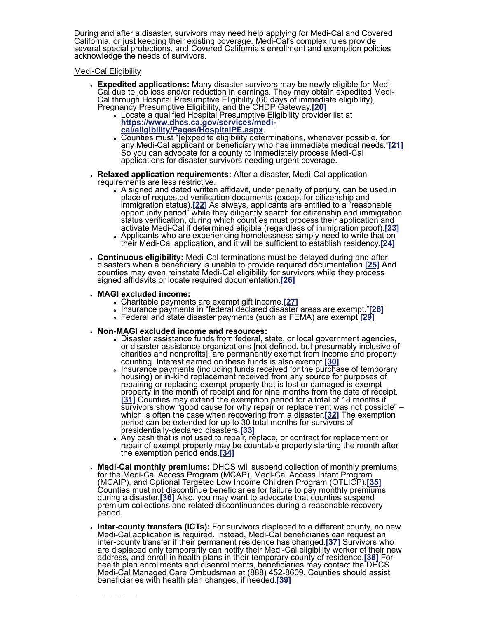During and after a disaster, survivors may need help applying for Medi-Cal and Covered California, or just keeping their existing coverage. Medi-Cal's complex rules provide several special protections, and Covered California's enrollment and exemption policies acknowledge the needs of survivors.

Medi-Cal Eligibility

- <span id="page-2-0"></span>**Expedited applications:** Many disaster survivors may be newly eligible for Medi-Cal due to job loss and/or reduction in earnings. They may obtain expedited Medi-Cal through Hospital Presumptive Eligibility (60 days of immediate eligibility), Pregnancy Presumptive Eligibility, and the CHDP Gateway.**[\[20\]](#page-3-19)**
	- Locate a qualified Hospital Presumptive Eligibility provider list at **[https://www.dhcs.ca.gov/services/medi-](https://www.dhcs.ca.gov/services/medi-cal/eligibility/Pages/HospitalPE.aspx)**
	- **cal/eligibility/Pages/HospitalPE.aspx**.
	- Counties must "[e]xpedite eligibility determinations, whenever possible, for any Medi-Cal applicant or beneficiary who has immediate medical needs."**[\[21\]](#page-3-20)** So you can advocate for a county to immediately process Medi-Cal applications for disaster survivors needing urgent coverage.
- <span id="page-2-2"></span><span id="page-2-1"></span>**Relaxed application requirements:** After a disaster, Medi-Cal application requirements are less restrictive.
	- A signed and dated written affidavit, under penalty of perjury, can be used in place of requested verification documents (except for citizenship and immigration status).**[\[22\]](#page-3-21)** As always, applicants are entitled to a "reasonable opportunity period" while they diligently search for citizenship and immigration status verification, during which counties must process their application and activate Medi-Cal if determined eligible (regardless of immigration proof).**[\[23\]](#page-4-0)**
	- Applicants who are experiencing homelessness simply need to write that on their Medi-Cal application, and it will be sufficient to establish residency.**[\[24\]](#page-4-1)**
- **Continuous eligibility:** Medi-Cal terminations must be delayed during and after disasters when a beneficiary is unable to provide required documentation.**[\[25\]](#page-4-2)** And counties may even reinstate Medi-Cal eligibility for survivors while they process signed affidavits or locate required documentation.**[\[26\]](#page-4-3)**
- **MAGI excluded income:**

C d'an de Carlos (1989)<br>Carlos (1989)

- <span id="page-2-9"></span><span id="page-2-8"></span><span id="page-2-7"></span><span id="page-2-6"></span><span id="page-2-5"></span><span id="page-2-4"></span><span id="page-2-3"></span>Charitable payments are exempt gift income.**[\[27\]](#page-4-4)**
- <span id="page-2-10"></span>Insurance payments in "federal declared disaster areas are exempt."**[\[28\]](#page-4-5)**
- <span id="page-2-12"></span>Federal and state disaster payments (such as FEMA) are exempt.**[\[29\]](#page-4-6)**
- <span id="page-2-11"></span>**Non-MAGI excluded income and resources:**
	- Disaster assistance funds from federal, state, or local government agencies, or disaster assistance organizations [not defined, but presumably inclusive of charities and nonprofits], are permanently exempt from income and property counting. Interest earned on these funds is also exempt.**[\[30\]](#page-4-7)**
	- Insurance payments (including funds received for the purchase of temporary housing) or in-kind replacement received from any source for purposes of repairing or replacing exempt property that is lost or damaged is exempt property in the month of receipt and for nine months from the date of receipt. **[\[31\]](#page-4-8)** Counties may extend the exemption period for a total of 18 months if survivors show "good cause for why repair or replacement was not possible" – which is often the case when recovering from a disaster.**[\[32\]](#page-4-9)** The exemption period can be extended for up to 30 total months for survivors of presidentially-declared disasters.**[\[33\]](#page-4-10)**
	- Any cash that is not used to repair, replace, or contract for replacement or repair of exempt property may be countable property starting the month after the exemption period ends.**[\[34\]](#page-4-11)**
- <span id="page-2-16"></span><span id="page-2-15"></span><span id="page-2-14"></span><span id="page-2-13"></span>**Medi-Cal monthly premiums:** DHCS will suspend collection of monthly premiums for the Medi-Cal Access Program (MCAP), Medi-Cal Access Infant Program (MCAIP), and Optional Targeted Low Income Children Program (OTLICP).**[\[35\]](#page-4-12)** Counties must not discontinue beneficiaries for failure to pay monthly premiums during a disaster.**[\[36\]](#page-4-13)** Also, you may want to advocate that counties suspend premium collections and related discontinuances during a reasonable recovery period.
- <span id="page-2-19"></span><span id="page-2-18"></span><span id="page-2-17"></span>**Inter-county transfers (ICTs):** For survivors displaced to a different county, no new Medi-Cal application is required. Instead, Medi-Cal beneficiaries can request an inter-county transfer if their permanent residence has changed.**[\[37\]](#page-4-14)** Survivors who are displaced only temporarily can notify their Medi-Cal eligibility worker of their new address, and enroll in health plans in their temporary county of residence.**[\[38\]](#page-4-15)** For health plan enrollments and disenrollments, beneficiaries may contact the DHCS Medi-Cal Managed Care Ombudsman at (888) 452-8609. Counties should assist beneficiaries with health plan changes, if needed.**[\[39\]](#page-4-16)**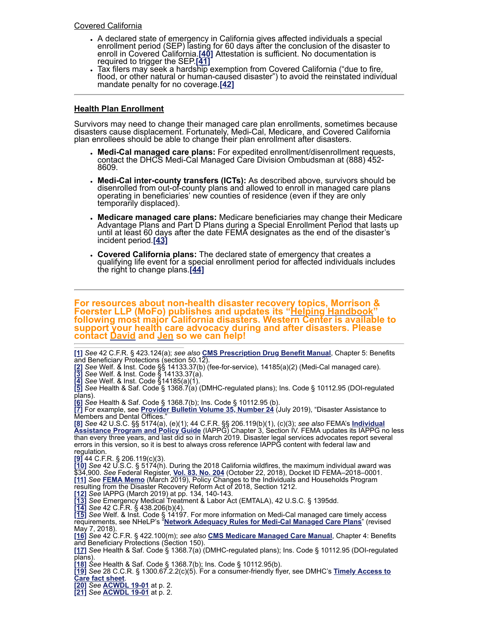- <span id="page-3-22"></span>A declared state of emergency in California gives affected individuals a special enrollment period (SEP) lasting for 60 days after the conclusion of the disaster to enroll in Covered California.**[\[40\]](#page-4-17)** Attestation is sufficient. No documentation is required to trigger the SEP.**[\[41\]](#page-4-18)**
- <span id="page-3-24"></span><span id="page-3-23"></span>Tax filers may seek a hardship exemption from Covered California ("due to fire, flood, or other natural or human-caused disaster") to avoid the reinstated individual mandate penalty for no coverage.**[\[42\]](#page-4-19)**

### **Health Plan Enrollment**

Survivors may need to change their managed care plan enrollments, sometimes because disasters cause displacement. Fortunately, Medi-Cal, Medicare, and Covered California plan enrollees should be able to change their plan enrollment after disasters.

- **Medi-Cal managed care plans:** For expedited enrollment/disenrollment requests, contact the DHCS Medi-Cal Managed Care Division Ombudsman at (888) 452- 8609.
- **Medi-Cal inter-county transfers (ICTs):** As described above, survivors should be disenrolled from out-of-county plans and allowed to enroll in managed care plans operating in beneficiaries' new counties of residence (even if they are only temporarily displaced).
- **Medicare managed care plans:** Medicare beneficiaries may change their Medicare Advantage Plans and Part D Plans during a Special Enrollment Period that lasts up until at least 60 days after the date FEMA designates as the end of the disaster's incident period.**[\[43\]](#page-4-20)**
- <span id="page-3-26"></span><span id="page-3-25"></span>**Covered California plans:** The declared state of emergency that creates a qualifying life event for a special enrollment period for affected individuals includes the right to change plans.**[\[44\]](#page-4-21)**

**For resources about non-health disaster recovery topics, Morrison & Foerster LLP (MoFo) publishes and updates its "[Helping Handbook](https://www.mofo.com/fire)" following most major California disasters. Western Center is available to support your health care advocacy during and after disasters. Please contact [David](mailto:dkane@wclp.org) and [Jen](mailto:jflory@wclp.org) so we can help!**

<span id="page-3-0"></span>**[\[1\]](#page-0-0)** *See* 42 C.F.R. § 423.124(a); *see also* **[CMS Prescription Drug Benefit Manual](https://www.cms.gov/Medicare/Prescription-Drug-Coverage/PrescriptionDrugCovContra/Downloads/MemoPDBManualChapter5_093011.pdf)**, Chapter 5: Benefits and Beneficiary Protections (section 50.12).

<span id="page-3-1"></span>**[\[2\]](#page-0-1)** *See* Welf. & Inst. Code §§ 14133.37(b) (fee-for-service), 14185(a)(2) (Medi-Cal managed care). **[\[3\]](#page-0-2)** *See* Welf. & Inst. Code § 14133.37(a).

<span id="page-3-3"></span><span id="page-3-2"></span>**[\[4\]](#page-0-3)** *See* Welf. & Inst. Code §14185(a)(1).

<span id="page-3-4"></span>**[\[5\]](#page-0-4)** *See* Health & Saf. Code § 1368.7(a) (DMHC-regulated plans); Ins. Code § 10112.95 (DOI-regulated plans).

<span id="page-3-5"></span>**[\[6\]](#page-0-5)** *See* Health & Saf. Code § 1368.7(b); Ins. Code § 10112.95 (b).

<span id="page-3-6"></span>**[\[7\]](#page-0-6)** For example, see **[Provider Bulletin Volume 35, Number 24](https://www.denti-cal.ca.gov/DC_documents/providers/provider_bulletins/Volume_35_Number_24.pdf)** (July 2019), "Disaster Assistance to Members and Dental Offices."

<span id="page-3-7"></span>**[\[8\]](#page-1-0)** *See* [42 U.S.C. §§ 5174\(a\), \(e\)\(1\); 44 C.F.R. §§ 206.119\(b\)\(1\), \(c\)\(3\);](https://www.fema.gov/media-library/assets/documents/177489) *see also* FEMA's **Individual Assistance Program and Policy Guide** (IAPPG) Chapter 3, Section IV. FEMA updates its IAPPG no less than every three years, and last did so in March 2019. Disaster legal services advocates report several errors in this version, so it is best to always cross reference IAPPG content with federal law and regulation.

<span id="page-3-8"></span>**[\[9\]](#page-1-1)** 44 C.F.R. § 206.119(c)(3).

<span id="page-3-9"></span>**[\[10\]](#page-1-2)** *See* 42 U.S.C. § 5174(h). During the 2018 California wildfires, the maximum individual award was \$34,900. *See* Federal Register, **[Vol. 83, No. 204](https://www.govinfo.gov/content/pkg/FR-2018-10-22/pdf/2018-22884.pdf)** (October 22, 2018), Docket ID FEMA–2018–0001. **[\[11\]](#page-1-3)** *See* **[FEMA Memo](https://www.fema.gov/media-library-data/1557238500138-2c015fa2d9c8d73935ea392520d6a068/Chris_Signature_DRRA_1212_Memo_32519.pdf)** (March 2019), Policy Changes to the Individuals and Households Program resulting from the Disaster Recovery Reform Act of 2018, Section 1212.

<span id="page-3-11"></span><span id="page-3-10"></span>**[\[12\]](#page-1-4)** *See* IAPPG (March 2019) at pp. 134, 140-143.

<span id="page-3-12"></span>**[\[13\]](#page-1-5)** *See* Emergency Medical Treatment & Labor Act (EMTALA), 42 U.S.C. § 1395dd.

<span id="page-3-13"></span>**[\[14\]](#page-1-6)** *See* 42 C.F.R. § 438.206(b)(4).

<span id="page-3-14"></span>**[\[15\]](#page-1-7)** *See* Welf. & Inst. Code § 14197. For more information on Medi-Cal managed care timely access requirements, see NHeLP's "**[Network Adequacy Rules for Medi-Cal Managed Care Plans](https://healthconsumer.org/wp/wp-content/uploads/2016/10/050718-1-mcal-net-ad-final-Managed-Care-in-California-Series-UPDATED.pdf)**" (revised May 7, 2018).

<span id="page-3-15"></span>**[\[16\]](#page-1-8)** *See* 42 C.F.R. § 422.100(m); *see also* **[CMS Medicare Managed Care Manual](https://www.cms.gov/Regulations-and-Guidance/Guidance/Manuals/downloads/mc86c04.pdf)**, Chapter 4: Benefits and Beneficiary Protections (Section 150).

<span id="page-3-16"></span>**[\[17\]](#page-1-9)** *See* Health & Saf. Code § 1368.7(a) (DMHC-regulated plans); Ins. Code § 10112.95 (DOI-regulated plans).

<span id="page-3-17"></span>**[\[18\]](#page-1-10)** *See* Health & Saf. Code § 1368.7(b); Ins. Code § 10112.95(b).

<span id="page-3-18"></span>**[\[19\]](#page-1-11)** *See* [28 C.C.R. § 1300.67.2.2\(c\)\(5\). For a consumer-friendly flyer, see DMHC's](https://www.dmhc.ca.gov/Portals/0/LicensingAndReporting/SubmittingHealthPlanFilings/archive/MY_2014_Timely_Access_Fact_Sheet.pdf) **Timely Access to Care fact sheet**.

<span id="page-3-19"></span>**[\[20\]](#page-2-0)** *See* **[ACWDL 19-01](https://www.dhcs.ca.gov/services/medi-cal/eligibility/Documents/ACWDL/2019/19-01.pdf)** at p. 2.

<span id="page-3-21"></span><span id="page-3-20"></span>**[\[21\]](#page-2-1)** *See* **[ACWDL 19-01](https://www.dhcs.ca.gov/services/medi-cal/eligibility/Documents/ACWDL/2019/19-01.pdf)** [at p. 2.](https://www.dhcs.ca.gov/services/medi-cal/eligibility/Documents/MEDIL/2017/I17-16.pdf)